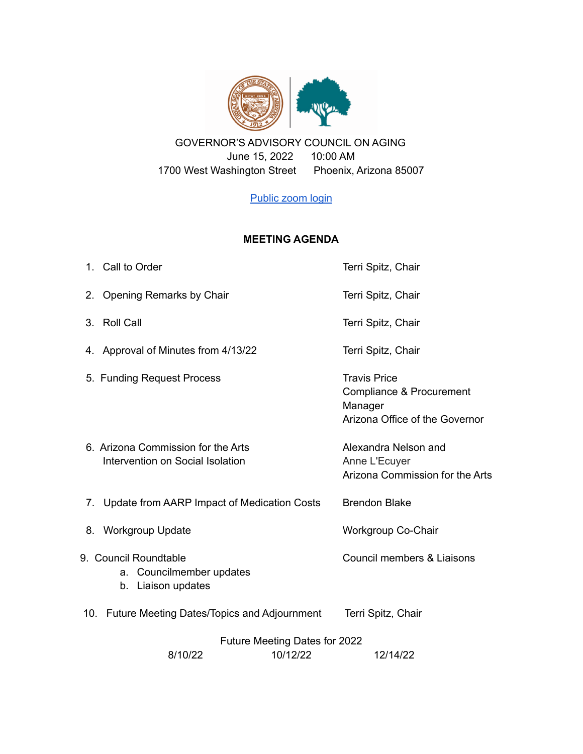GOVERNOR'S ADVISORY COUNCIL ON AGING

June 15, 2022 10:00 AM 1700 West Washington Street Phoenix, Arizona 85007

[Public](https://us06web.zoom.us/j/87466005883?pwd=SGlRblg5RXJFQTBQekg2bkkrNktTQT09) zoom login

## **MEETING AGENDA**

|                                                                  | 1. Call to Order                                                        |  | Terri Spitz, Chair                                                                           |
|------------------------------------------------------------------|-------------------------------------------------------------------------|--|----------------------------------------------------------------------------------------------|
|                                                                  | 2. Opening Remarks by Chair                                             |  | Terri Spitz, Chair                                                                           |
| 3.                                                               | <b>Roll Call</b>                                                        |  | Terri Spitz, Chair                                                                           |
|                                                                  | 4. Approval of Minutes from 4/13/22                                     |  | Terri Spitz, Chair                                                                           |
|                                                                  | 5. Funding Request Process                                              |  | <b>Travis Price</b><br>Compliance & Procurement<br>Manager<br>Arizona Office of the Governor |
|                                                                  | 6. Arizona Commission for the Arts<br>Intervention on Social Isolation  |  | Alexandra Nelson and<br>Anne L'Ecuyer<br>Arizona Commission for the Arts                     |
|                                                                  | 7. Update from AARP Impact of Medication Costs                          |  | <b>Brendon Blake</b>                                                                         |
|                                                                  | 8. Workgroup Update                                                     |  | Workgroup Co-Chair                                                                           |
|                                                                  | 9. Council Roundtable<br>a. Councilmember updates<br>b. Liaison updates |  | Council members & Liaisons                                                                   |
|                                                                  | 10. Future Meeting Dates/Topics and Adjournment                         |  | Terri Spitz, Chair                                                                           |
| Future Meeting Dates for 2022<br>10/12/22<br>8/10/22<br>12/14/22 |                                                                         |  |                                                                                              |